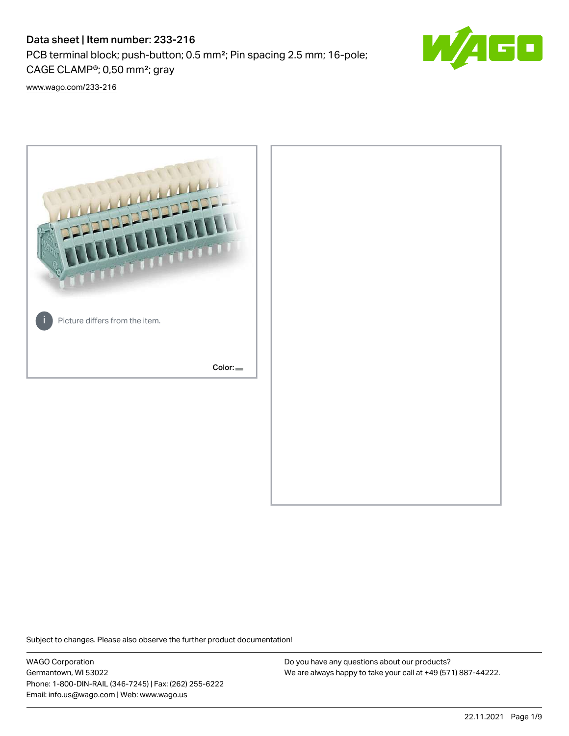# Data sheet | Item number: 233-216

PCB terminal block; push-button; 0.5 mm²; Pin spacing 2.5 mm; 16-pole; CAGE CLAMP®; 0,50 mm²; gray



[www.wago.com/233-216](http://www.wago.com/233-216)



Subject to changes. Please also observe the further product documentation!

WAGO Corporation Germantown, WI 53022 Phone: 1-800-DIN-RAIL (346-7245) | Fax: (262) 255-6222 Email: info.us@wago.com | Web: www.wago.us

Do you have any questions about our products? We are always happy to take your call at +49 (571) 887-44222.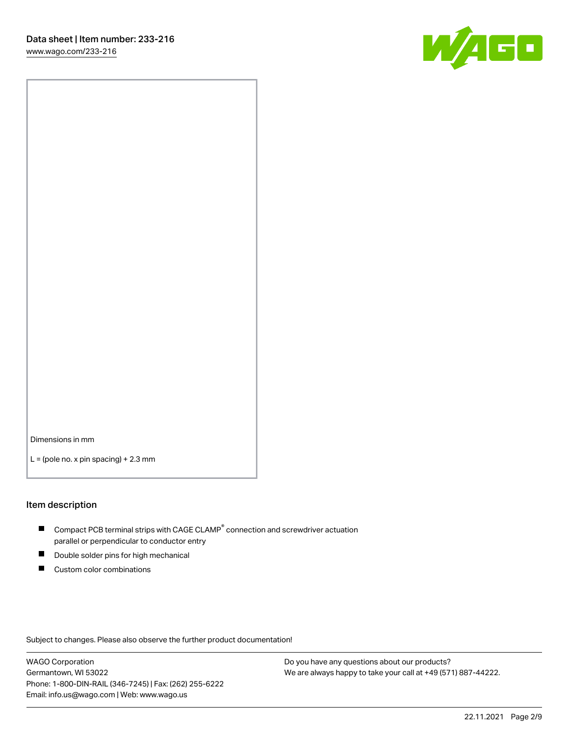

Dimensions in mm

 $L =$  (pole no. x pin spacing) + 2.3 mm

#### Item description

- $\blacksquare$  Compact PCB terminal strips with CAGE CLAMP<sup>®</sup> connection and screwdriver actuation parallel or perpendicular to conductor entry
- П Double solder pins for high mechanical
- $\blacksquare$ Custom color combinations

Subject to changes. Please also observe the further product documentation!

WAGO Corporation Germantown, WI 53022 Phone: 1-800-DIN-RAIL (346-7245) | Fax: (262) 255-6222 Email: info.us@wago.com | Web: www.wago.us

Do you have any questions about our products? We are always happy to take your call at +49 (571) 887-44222.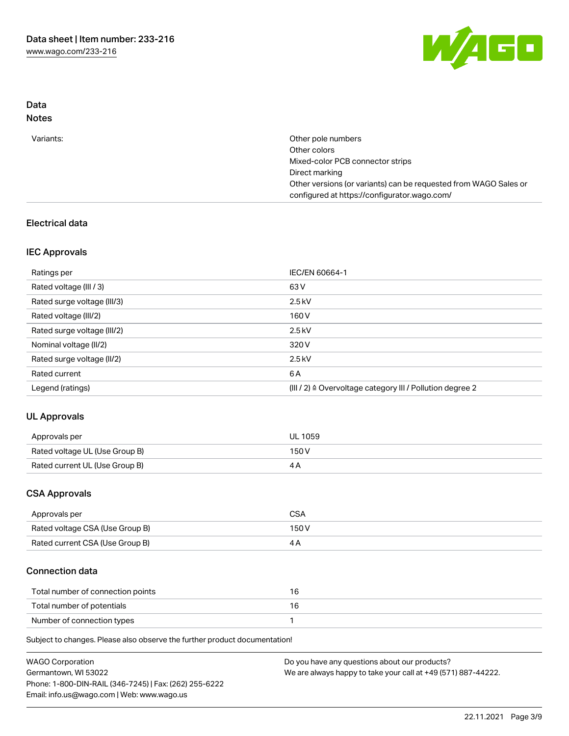

## Data Notes

| Variants: | Other pole numbers                                               |
|-----------|------------------------------------------------------------------|
|           | Other colors                                                     |
|           | Mixed-color PCB connector strips                                 |
|           | Direct marking                                                   |
|           | Other versions (or variants) can be requested from WAGO Sales or |
|           | configured at https://configurator.wago.com/                     |
|           |                                                                  |

## Electrical data

## IEC Approvals

| Ratings per                 | IEC/EN 60664-1                                                        |
|-----------------------------|-----------------------------------------------------------------------|
| Rated voltage (III / 3)     | 63 V                                                                  |
| Rated surge voltage (III/3) | $2.5$ kV                                                              |
| Rated voltage (III/2)       | 160 V                                                                 |
| Rated surge voltage (III/2) | $2.5$ kV                                                              |
| Nominal voltage (II/2)      | 320 V                                                                 |
| Rated surge voltage (II/2)  | $2.5$ kV                                                              |
| Rated current               | 6 A                                                                   |
| Legend (ratings)            | $(III / 2)$ $\triangle$ Overvoltage category III / Pollution degree 2 |

# UL Approvals

| Approvals per                  | <b>UL 1059</b> |
|--------------------------------|----------------|
| Rated voltage UL (Use Group B) | 150V           |
| Rated current UL (Use Group B) |                |

### CSA Approvals

| Approvals per                   | CSA   |
|---------------------------------|-------|
| Rated voltage CSA (Use Group B) | 150 V |
| Rated current CSA (Use Group B) |       |

## Connection data

| Total number of connection points |  |
|-----------------------------------|--|
| Total number of potentials        |  |
| Number of connection types        |  |

Subject to changes. Please also observe the further product documentation!

| <b>WAGO Corporation</b>                                | Do you have any questions about our products?                 |
|--------------------------------------------------------|---------------------------------------------------------------|
| Germantown, WI 53022                                   | We are always happy to take your call at +49 (571) 887-44222. |
| Phone: 1-800-DIN-RAIL (346-7245)   Fax: (262) 255-6222 |                                                               |
| Email: info.us@wago.com   Web: www.wago.us             |                                                               |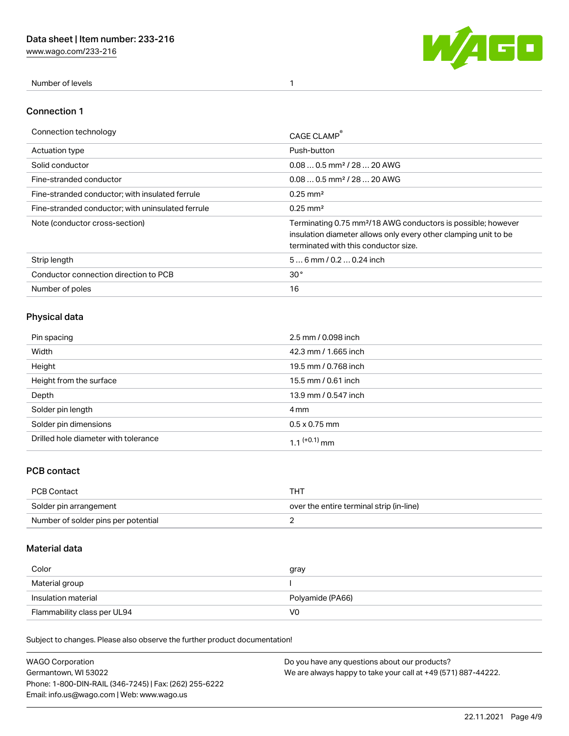[www.wago.com/233-216](http://www.wago.com/233-216)



Number of levels 1

#### Connection 1

| Connection technology                             | CAGE CLAMP                                                                                                                                                                          |
|---------------------------------------------------|-------------------------------------------------------------------------------------------------------------------------------------------------------------------------------------|
| Actuation type                                    | Push-button                                                                                                                                                                         |
| Solid conductor                                   | $0.080.5$ mm <sup>2</sup> / 28  20 AWG                                                                                                                                              |
| Fine-stranded conductor                           | $0.080.5$ mm <sup>2</sup> / 28  20 AWG                                                                                                                                              |
| Fine-stranded conductor; with insulated ferrule   | $0.25 \text{ mm}^2$                                                                                                                                                                 |
| Fine-stranded conductor; with uninsulated ferrule | $0.25 \text{ mm}^2$                                                                                                                                                                 |
| Note (conductor cross-section)                    | Terminating 0.75 mm <sup>2</sup> /18 AWG conductors is possible; however<br>insulation diameter allows only every other clamping unit to be<br>terminated with this conductor size. |
| Strip length                                      | $56$ mm / 0.2  0.24 inch                                                                                                                                                            |
| Conductor connection direction to PCB             | 30 <sup>°</sup>                                                                                                                                                                     |
| Number of poles                                   | 16                                                                                                                                                                                  |

# Physical data

| Pin spacing                          | 2.5 mm / 0.098 inch      |
|--------------------------------------|--------------------------|
| Width                                | 42.3 mm / 1.665 inch     |
| Height                               | 19.5 mm / 0.768 inch     |
| Height from the surface              | 15.5 mm / 0.61 inch      |
| Depth                                | 13.9 mm / 0.547 inch     |
| Solder pin length                    | 4 mm                     |
| Solder pin dimensions                | $0.5 \times 0.75$ mm     |
| Drilled hole diameter with tolerance | 1.1 <sup>(+0.1)</sup> mm |

## PCB contact

| PCB Contact                         | THT                                      |
|-------------------------------------|------------------------------------------|
| Solder pin arrangement              | over the entire terminal strip (in-line) |
| Number of solder pins per potential |                                          |

## Material data

| Color               | gray             |
|---------------------|------------------|
| Material group      |                  |
| Insulation material | Polyamide (PA66) |
|                     |                  |

Subject to changes. Please also observe the further product documentation!

| <b>WAGO Corporation</b>                                | Do you have any questions about our products?                 |
|--------------------------------------------------------|---------------------------------------------------------------|
| Germantown, WI 53022                                   | We are always happy to take your call at +49 (571) 887-44222. |
| Phone: 1-800-DIN-RAIL (346-7245)   Fax: (262) 255-6222 |                                                               |
| Email: info.us@wago.com   Web: www.wago.us             |                                                               |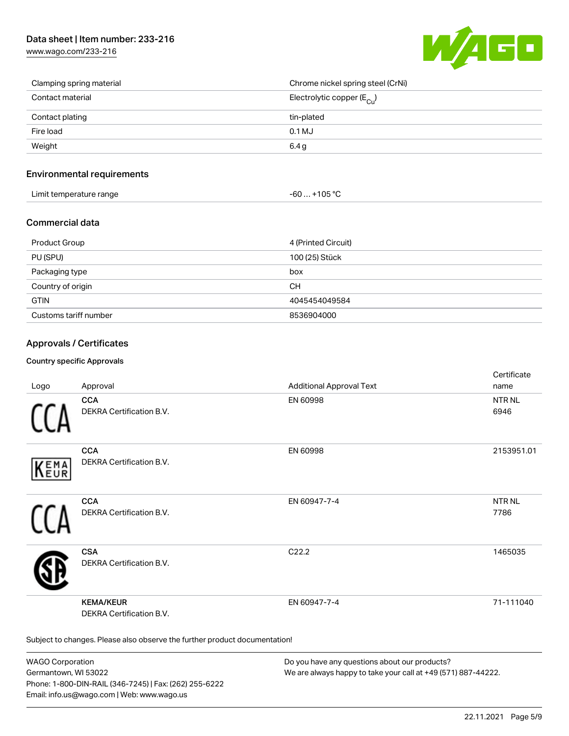# Data sheet | Item number: 233-216

[www.wago.com/233-216](http://www.wago.com/233-216)



| Clamping spring material | Chrome nickel spring steel (CrNi)       |
|--------------------------|-----------------------------------------|
| Contact material         | Electrolytic copper ( $E_{\text{Cu}}$ ) |
| Contact plating          | tin-plated                              |
| Fire load                | 0.1 MJ                                  |
| Weight                   | 6.4 <sub>g</sub>                        |

### Environmental requirements

| Limit temperature range | $-60+105 °C$ |
|-------------------------|--------------|
|-------------------------|--------------|

#### Commercial data

| Product Group         | 4 (Printed Circuit) |
|-----------------------|---------------------|
| PU (SPU)              | 100 (25) Stück      |
| Packaging type        | box                 |
| Country of origin     | <b>CH</b>           |
| <b>GTIN</b>           | 4045454049584       |
| Customs tariff number | 8536904000          |

### Approvals / Certificates

#### Country specific Approvals

| Logo       | Approval                                                                   | <b>Additional Approval Text</b> | Certificate<br>name       |
|------------|----------------------------------------------------------------------------|---------------------------------|---------------------------|
|            | <b>CCA</b><br>DEKRA Certification B.V.                                     | EN 60998                        | NTR <sub>NL</sub><br>6946 |
| EMA<br>EUR | <b>CCA</b><br>DEKRA Certification B.V.                                     | EN 60998                        | 2153951.01                |
|            | <b>CCA</b><br>DEKRA Certification B.V.                                     | EN 60947-7-4                    | <b>NTRNL</b><br>7786      |
|            | <b>CSA</b><br>DEKRA Certification B.V.                                     | C22.2                           | 1465035                   |
|            | <b>KEMA/KEUR</b><br>DEKRA Certification B.V.                               | EN 60947-7-4                    | 71-111040                 |
|            | Subject to changes. Please also observe the further product documentation! |                                 |                           |

WAGO Corporation Germantown, WI 53022 Phone: 1-800-DIN-RAIL (346-7245) | Fax: (262) 255-6222 Email: info.us@wago.com | Web: www.wago.us

Do you have any questions about our products? We are always happy to take your call at +49 (571) 887-44222.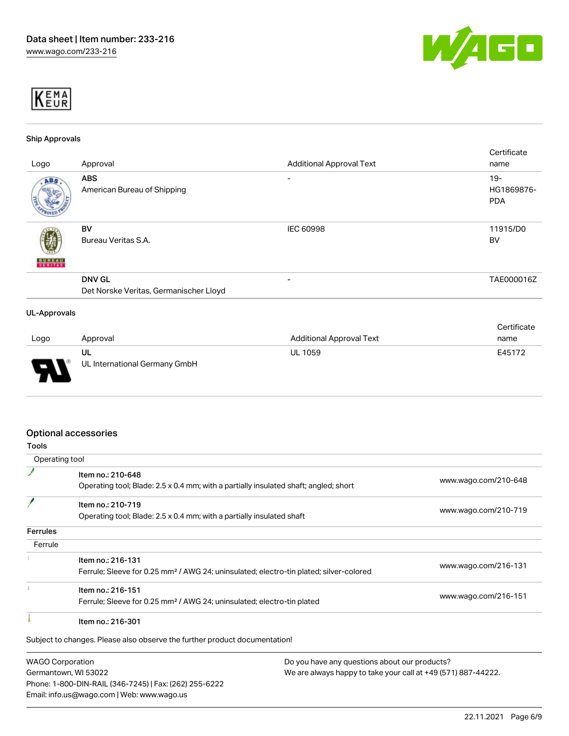



#### Ship Approvals

| Logo                | Approval                                                | <b>Additional Approval Text</b> | Certificate<br>name                |
|---------------------|---------------------------------------------------------|---------------------------------|------------------------------------|
| ABS.                | <b>ABS</b><br>American Bureau of Shipping               |                                 | $19 -$<br>HG1869876-<br><b>PDA</b> |
| <b>BUREAU</b>       | BV<br>Bureau Veritas S.A.                               | <b>IEC 60998</b>                | 11915/D0<br><b>BV</b>              |
|                     | <b>DNV GL</b><br>Det Norske Veritas, Germanischer Lloyd | $\overline{\phantom{a}}$        | TAE000016Z                         |
| <b>UL-Approvals</b> |                                                         |                                 | Certificate                        |

| Logo | Approval                            | Additional Approval Text | name   |
|------|-------------------------------------|--------------------------|--------|
| l    | UL<br>UL International Germany GmbH | <b>UL 1059</b>           | E45172 |

### Optional accessories

Germantown, WI 53022

Phone: 1-800-DIN-RAIL (346-7245) | Fax: (262) 255-6222

Email: info.us@wago.com | Web: www.wago.us

| Tools                   |                                                                                                    |                      |
|-------------------------|----------------------------------------------------------------------------------------------------|----------------------|
| Operating tool          |                                                                                                    |                      |
|                         | Item no.: 210-648                                                                                  |                      |
|                         | Operating tool; Blade: 2.5 x 0.4 mm; with a partially insulated shaft; angled; short               | www.wago.com/210-648 |
|                         | Item no.: 210-719                                                                                  |                      |
|                         | Operating tool; Blade: 2.5 x 0.4 mm; with a partially insulated shaft                              | www.wago.com/210-719 |
| <b>Ferrules</b>         |                                                                                                    |                      |
| Ferrule                 |                                                                                                    |                      |
|                         | Item no.: 216-131                                                                                  |                      |
|                         | Ferrule; Sleeve for 0.25 mm <sup>2</sup> / AWG 24; uninsulated; electro-tin plated; silver-colored | www.wago.com/216-131 |
|                         | Item no.: 216-151                                                                                  |                      |
|                         | Ferrule; Sleeve for 0.25 mm <sup>2</sup> / AWG 24; uninsulated; electro-tin plated                 | www.wago.com/216-151 |
|                         | Item no.: 216-301                                                                                  |                      |
|                         | Subject to changes. Please also observe the further product documentation!                         |                      |
| <b>WAGO Corporation</b> | Do you have any questions about our products?                                                      |                      |

We are always happy to take your call at +49 (571) 887-44222.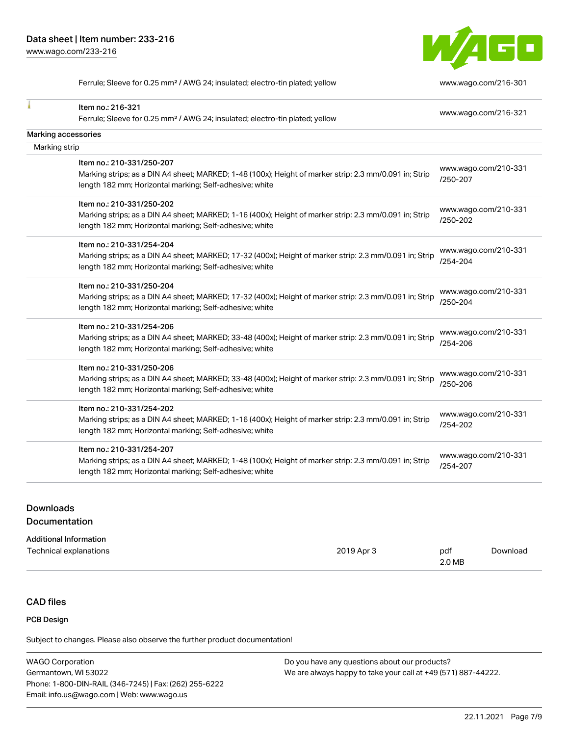

Ferrule; Sleeve for 0.25 mm<sup>2</sup> / AWG 24; insulated; electro-tin plated; yellow [www.wago.com/216-301](http://www.wago.com/216-301)

| Item no.: 216-321<br>Ferrule; Sleeve for 0.25 mm <sup>2</sup> / AWG 24; insulated; electro-tin plated; yellow | www.wago.com/216-321             |
|---------------------------------------------------------------------------------------------------------------|----------------------------------|
|                                                                                                               |                                  |
| Marking accessories                                                                                           |                                  |
| Marking strip                                                                                                 |                                  |
| Item no.: 210-331/250-207                                                                                     |                                  |
| Marking strips; as a DIN A4 sheet; MARKED; 1-48 (100x); Height of marker strip: 2.3 mm/0.091 in; Strip        | www.wago.com/210-331<br>/250-207 |
| length 182 mm; Horizontal marking; Self-adhesive; white                                                       |                                  |
| Item no.: 210-331/250-202                                                                                     |                                  |
| Marking strips; as a DIN A4 sheet; MARKED; 1-16 (400x); Height of marker strip: 2.3 mm/0.091 in; Strip        | www.wago.com/210-331             |
| length 182 mm; Horizontal marking; Self-adhesive; white                                                       | /250-202                         |
| Item no.: 210-331/254-204                                                                                     |                                  |
| Marking strips; as a DIN A4 sheet; MARKED; 17-32 (400x); Height of marker strip: 2.3 mm/0.091 in; Strip       | www.wago.com/210-331<br>/254-204 |
| length 182 mm; Horizontal marking; Self-adhesive; white                                                       |                                  |
| Item no.: 210-331/250-204                                                                                     |                                  |
| Marking strips; as a DIN A4 sheet; MARKED; 17-32 (400x); Height of marker strip: 2.3 mm/0.091 in; Strip       | www.wago.com/210-331<br>/250-204 |
| length 182 mm; Horizontal marking; Self-adhesive; white                                                       |                                  |
| Item no.: 210-331/254-206                                                                                     |                                  |
| Marking strips; as a DIN A4 sheet; MARKED; 33-48 (400x); Height of marker strip: 2.3 mm/0.091 in; Strip       | www.wago.com/210-331<br>/254-206 |
| length 182 mm; Horizontal marking; Self-adhesive; white                                                       |                                  |
| Item no.: 210-331/250-206                                                                                     |                                  |
| Marking strips; as a DIN A4 sheet; MARKED; 33-48 (400x); Height of marker strip: 2.3 mm/0.091 in; Strip       | www.wago.com/210-331<br>/250-206 |
| length 182 mm; Horizontal marking; Self-adhesive; white                                                       |                                  |
| Item no.: 210-331/254-202                                                                                     |                                  |
| Marking strips; as a DIN A4 sheet; MARKED; 1-16 (400x); Height of marker strip: 2.3 mm/0.091 in; Strip        | www.wago.com/210-331<br>/254-202 |
| length 182 mm; Horizontal marking; Self-adhesive; white                                                       |                                  |
| Item no.: 210-331/254-207                                                                                     |                                  |
| Marking strips; as a DIN A4 sheet; MARKED; 1-48 (100x); Height of marker strip: 2.3 mm/0.091 in; Strip        | www.wago.com/210-331<br>/254-207 |
| length 182 mm; Horizontal marking; Self-adhesive; white                                                       |                                  |
|                                                                                                               |                                  |

## **Downloads** Documentation

#### Additional Information

| Technical explanations | 2019 Apr 3 | pdf    | Download |
|------------------------|------------|--------|----------|
|                        |            | 2.0 MB |          |

# CAD files

# PCB Design

Subject to changes. Please also observe the further product documentation!

| <b>WAGO Corporation</b>                                | Do you have any questions about our products?                 |
|--------------------------------------------------------|---------------------------------------------------------------|
| Germantown, WI 53022                                   | We are always happy to take your call at +49 (571) 887-44222. |
| Phone: 1-800-DIN-RAIL (346-7245)   Fax: (262) 255-6222 |                                                               |
| Email: info.us@wago.com   Web: www.wago.us             |                                                               |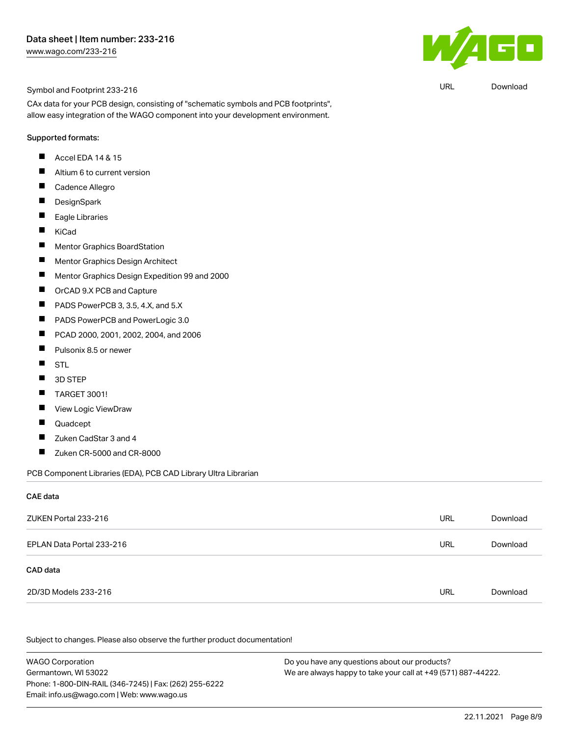

URL [Download](https://www.wago.com/global/d/UltraLibrarian_URLS_233-216)

Symbol and Footprint 233-216

CAx data for your PCB design, consisting of "schematic symbols and PCB footprints", allow easy integration of the WAGO component into your development environment.

#### Supported formats:

- $\blacksquare$ Accel EDA 14 & 15
- $\blacksquare$ Altium 6 to current version
- $\blacksquare$ Cadence Allegro
- $\blacksquare$ **DesignSpark**
- П Eagle Libraries
- $\blacksquare$ KiCad
- $\blacksquare$ Mentor Graphics BoardStation
- $\blacksquare$ Mentor Graphics Design Architect
- $\blacksquare$ Mentor Graphics Design Expedition 99 and 2000
- $\blacksquare$ OrCAD 9.X PCB and Capture
- $\blacksquare$ PADS PowerPCB 3, 3.5, 4.X, and 5.X
- $\blacksquare$ PADS PowerPCB and PowerLogic 3.0
- $\blacksquare$ PCAD 2000, 2001, 2002, 2004, and 2006
- $\blacksquare$ Pulsonix 8.5 or newer
- $\blacksquare$ STL
- $\blacksquare$ 3D STEP
- $\blacksquare$ TARGET 3001!
- $\blacksquare$ View Logic ViewDraw
- $\blacksquare$ Quadcept
- $\blacksquare$ Zuken CadStar 3 and 4
- $\blacksquare$ Zuken CR-5000 and CR-8000

PCB Component Libraries (EDA), PCB CAD Library Ultra Librarian

#### CAE data

| ZUKEN Portal 233-216      | URL | Download |
|---------------------------|-----|----------|
| EPLAN Data Portal 233-216 | URL | Download |
| CAD data                  |     |          |
| 2D/3D Models 233-216      | URL | Download |

Subject to changes. Please also observe the further product documentation!

WAGO Corporation Germantown, WI 53022 Phone: 1-800-DIN-RAIL (346-7245) | Fax: (262) 255-6222 Email: info.us@wago.com | Web: www.wago.us Do you have any questions about our products? We are always happy to take your call at +49 (571) 887-44222.